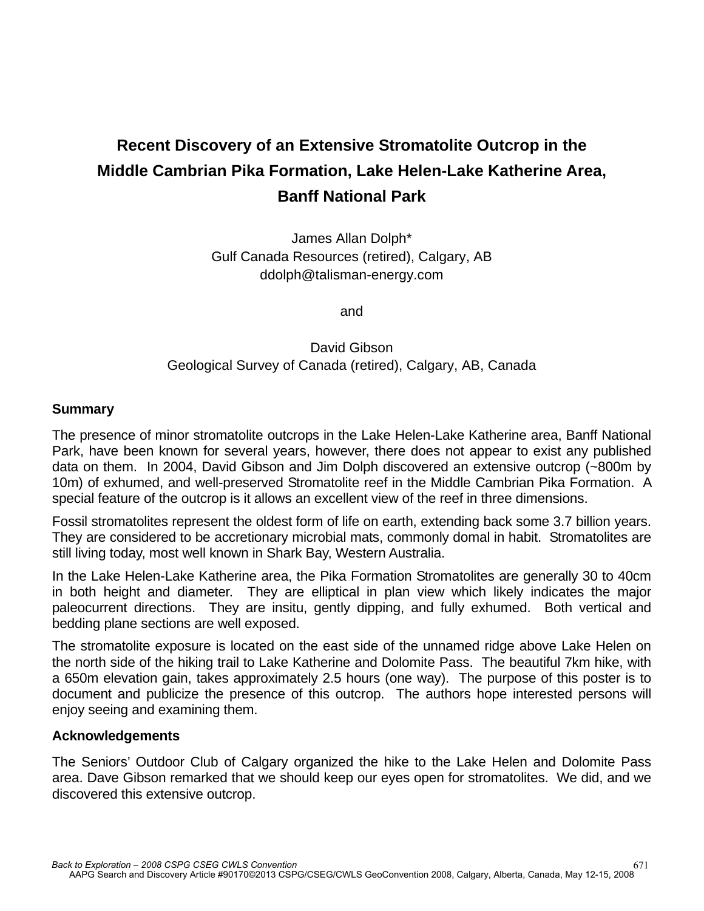## **Recent Discovery of an Extensive Stromatolite Outcrop in the Middle Cambrian Pika Formation, Lake Helen-Lake Katherine Area, Banff National Park**

James Allan Dolph\* Gulf Canada Resources (retired), Calgary, AB ddolph@talisman-energy.com

and

## David Gibson Geological Survey of Canada (retired), Calgary, AB, Canada

## **Summary**

The presence of minor stromatolite outcrops in the Lake Helen-Lake Katherine area, Banff National Park, have been known for several years, however, there does not appear to exist any published data on them. In 2004, David Gibson and Jim Dolph discovered an extensive outcrop (~800m by 10m) of exhumed, and well-preserved Stromatolite reef in the Middle Cambrian Pika Formation. A special feature of the outcrop is it allows an excellent view of the reef in three dimensions.

Fossil stromatolites represent the oldest form of life on earth, extending back some 3.7 billion years. They are considered to be accretionary microbial mats, commonly domal in habit. Stromatolites are still living today, most well known in Shark Bay, Western Australia.

In the Lake Helen-Lake Katherine area, the Pika Formation Stromatolites are generally 30 to 40cm in both height and diameter. They are elliptical in plan view which likely indicates the major paleocurrent directions. They are insitu, gently dipping, and fully exhumed. Both vertical and bedding plane sections are well exposed.

The stromatolite exposure is located on the east side of the unnamed ridge above Lake Helen on the north side of the hiking trail to Lake Katherine and Dolomite Pass. The beautiful 7km hike, with a 650m elevation gain, takes approximately 2.5 hours (one way). The purpose of this poster is to document and publicize the presence of this outcrop. The authors hope interested persons will enjoy seeing and examining them.

## **Acknowledgements**

The Seniors' Outdoor Club of Calgary organized the hike to the Lake Helen and Dolomite Pass area. Dave Gibson remarked that we should keep our eyes open for stromatolites. We did, and we discovered this extensive outcrop.